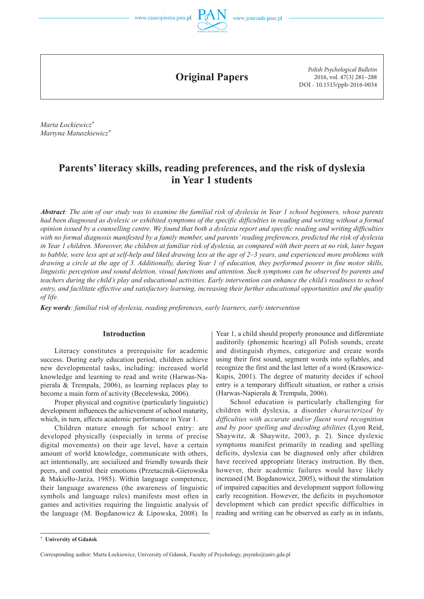



**Original Papers**

*Polish Psychological Bulletin* 2016, vol. 47(3) 281–288 DOI - 10.1515/ppb-2016-0034

*Marta Łockiewicz\* Martyna Matuszkiewicz\**

# **Parents' literacy skills, reading preferences, and the risk of dyslexia in Year 1 students**

*Abstract: The aim of our study was to examine the familial risk of dyslexia in Year 1 school beginners, whose parents had been diagnosed as dyslexic or exhibited symptoms of the specific difficulties in reading and writing without a formal opinion issued by a counselling centre. We found that both a dyslexia report and specific reading and writing difficulties with no formal diagnosis manifested by a family member, and parents' reading preferences, predicted the risk of dyslexia in Year 1 children. Moreover, the children at familiar risk of dyslexia, as compared with their peers at no risk, later began to babble, were less apt at self-help and liked drawing less at the age of 2–3 years, and experienced more problems with drawing a circle at the age of 3. Additionally, during Year 1 of education, they performed poorer in fine motor skills, linguistic perception and sound deletion, visual functions and attention. Such symptoms can be observed by parents and teachers during the child's play and educational activities. Early intervention can enhance the child's readiness to school entry, and facilitate effective and satisfactory learning, increasing their further educational opportunities and the quality of life.*

*Key words: familial risk of dyslexia, reading preferences, early learners, early intervention*

## **Introduction**

Literacy constitutes a prerequisite for academic success. During early education period, children achieve new developmental tasks, including: increased world knowledge and learning to read and write (Harwas-Napierała & Trempała, 2006), as learning replaces play to become a main form of activity (Becelewska, 2006).

Proper physical and cognitive (particularly linguistic) development influences the achievement of school maturity, which, in turn, affects academic performance in Year 1.

Children mature enough for school entry: are developed physically (especially in terms of precise digital movements) on their age level, have a certain amount of world knowledge, communicate with others, act intentionally, are socialized and friendly towards their peers, and control their emotions (Przetacznik-Gierowska & Makiełło-Jarża, 1985). Within language competence, their language awareness (the awareness of linguistic symbols and language rules) manifests most often in games and activities requiring the linguistic analysis of the language (M. Bogdanowicz & Lipowska, 2008). In

Year 1, a child should properly pronounce and differentiate auditorily (phonemic hearing) all Polish sounds, create and distinguish rhymes, categorize and create words using their first sound, segment words into syllables, and recognize the first and the last letter of a word (Krasowicz-Kupis, 2001). The degree of maturity decides if school entry is a temporary difficult situation, or rather a crisis (Harwas-Napierała & Trempała, 2006).

School education is particularly challenging for children with dyslexia, a disorder *characterized by difficulties with accurate and/or fluent word recognition and by poor spelling and decoding abilities* (Lyon Reid, Shaywitz, & Shaywitz, 2003, p. 2). Since dyslexic symptoms manifest primarily in reading and spelling deficits, dyslexia can be diagnosed only after children have received appropriate literacy instruction. By then, however, their academic failures would have likely increased (M. Bogdanowicz, 2005), without the stimulation of impaired capacities and development support following early recognition. However, the deficits in psychomotor development which can predict specific difficulties in reading and writing can be observed as early as in infants,

**<sup>\*</sup> University of Gdańsk** 

Corresponding author: Marta Łockiewicz, University of Gdansk, Faculty of Psychology, psymlo@univ.gda.pl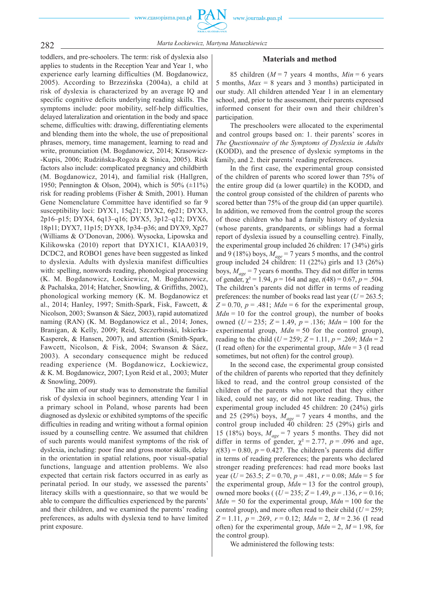

toddlers, and pre-schoolers. The term: risk of dyslexia also applies to students in the Reception Year and Year 1, who experience early learning difficulties (M. Bogdanowicz, 2005). According to Brzezińska (2004a), a child at risk of dyslexia is characterized by an average IQ and specific cognitive deficits underlying reading skills. The symptoms include: poor mobility, self-help difficulties, delayed lateralization and orientation in the body and space scheme, difficulties with: drawing, differentiating elements and blending them into the whole, the use of prepositional phrases, memory, time management, learning to read and write, pronunciation (M. Bogdanowicz, 2014; Krasowicz- -Kupis, 2006; Rudzińska-Rogoża & Sinica, 2005). Risk factors also include: complicated pregnancy and childbirth (M. Bogdanowicz, 2014), and familial risk (Hallgren, 1950; Pennington & Olson, 2004), which is  $50\%$  ( $\pm$ 11%) risk for reading problems (Fisher & Smith, 2001). Human Gene Nomenclature Committee have identified so far 9 susceptibility loci: DYX1, 15q21; DYX2, 6p21; DYX3, 2p16–p15; DYX4, 6q13–q16; DYX5, 3p12–q12; DYX6, 18p11; DYX7, 11p15; DYX8, 1p34–p36; and DYX9, Xp27 (Williams & O'Donovan, 2006). Wysocka, Lipowska and Kilikowska (2010) report that DYX1C1, KIAA0319, DCDC2, and ROBO1 genes have been suggested as linked to dyslexia. Adults with dyslexia manifest difficulties with: spelling, nonwords reading, phonological processing (K. M. Bogdanowicz, Łockiewicz, M. Bogdanowicz, & Pachalska, 2014; Hatcher, Snowling, & Griffiths, 2002), phonological working memory (K. M. Bogdanowicz et al., 2014; Hanley, 1997; Smith-Spark, Fisk, Fawcett, & Nicolson, 2003; Swanson & Sáez, 2003), rapid automatized naming (RAN) (K. M. Bogdanowicz et al., 2014; Jones, Branigan, & Kelly, 2009; Reid, Szczerbinski, Iskierka-Kasperek, & Hansen, 2007), and attention (Smith-Spark, Fawcett, Nicolson, & Fisk, 2004; Swanson & Sáez, 2003). A secondary consequence might be reduced reading experience (M. Bogdanowicz, Łockiewicz, & K. M. Bogdanowicz, 2007; Lyon Reid et al., 2003; Muter & Snowling, 2009).

The aim of our study was to demonstrate the familial risk of dyslexia in school beginners, attending Year 1 in a primary school in Poland, whose parents had been diagnosed as dyslexic or exhibited symptoms of the specific difficulties in reading and writing without a formal opinion issued by a counselling centre. We assumed that children of such parents would manifest symptoms of the risk of dyslexia, including: poor fine and gross motor skills, delay in the orientation in spatial relations, poor visual-spatial functions, language and attention problems. We also expected that certain risk factors occurred in as early as perinatal period. In our study, we assessed the parents' literacy skills with a questionnaire, so that we would be able to compare the difficulties experienced by the parents' and their children, and we examined the parents' reading preferences, as adults with dyslexia tend to have limited print exposure.

#### **Materials and method**

85 children ( $M = 7$  years 4 months,  $Min = 6$  years 5 months, *Max* = 8 years and 3 months) participated in our study. All children attended Year 1 in an elementary school, and, prior to the assessment, their parents expressed informed consent for their own and their children's participation.

The preschoolers were allocated to the experimental and control groups based on: 1. their parents' scores in *The Questionnaire of the Symptoms of Dyslexia in Adults* (KODD), and the presence of dyslexic symptoms in the family, and 2. their parents' reading preferences.

In the first case, the experimental group consisted of the children of parents who scored lower than 75% of the entire group did (a lower quartile) in the KODD, and the control group consisted of the children of parents who scored better than 75% of the group did (an upper quartile). In addition, we removed from the control group the scores of those children who had a family history of dyslexia (whose parents, grandparents, or siblings had a formal report of dyslexia issued by a counselling centre). Finally, the experimental group included 26 children: 17 (34%) girls and 9 (18%) boys,  $M_{\text{gas}} = 7$  years 5 months, and the control group included 24 children: 11 (22%) girls and 13 (26%) boys, *Mage* = 7 years 6 months. They did not differ in terms of gender,  $\chi^2 = 1.94$ ,  $p = 164$  and age,  $t(48) = 0.67$ ,  $p = .504$ . The children's parents did not differ in terms of reading preferences: the number of books read last year  $(U = 263.5)$ ;  $Z = 0.70$ ,  $p = .481$ ; *Mdn* = 6 for the experimental group,  $Mdn = 10$  for the control group), the number of books owned (*U* = 235; *Z* = 1.49, *p* = .136; *Mdn* = 100 for the experimental group,  $Mdn = 50$  for the control group), reading to the child  $(U = 259; Z = 1.11, p = .269; Mdn = 2$ (I read often) for the experimental group, *Mdn* = 3 (I read sometimes, but not often) for the control group).

In the second case, the experimental group consisted of the children of parents who reported that they definitely liked to read, and the control group consisted of the children of the parents who reported that they either liked, could not say, or did not like reading. Thus, the experimental group included 45 children: 20 (24%) girls and 25 (29%) boys,  $M_{\text{gas}} = 7$  years 4 months, and the control group included  $\frac{36}{40}$  children: 25 (29%) girls and 15 (18%) boys,  $M_{\text{age}} = 7$  years 5 months. They did not differ in terms of gender,  $\chi^2 = 2.77$ ,  $p = .096$  and age,  $t(83) = 0.80$ ,  $p = 0.427$ . The children's parents did differ in terms of reading preferences; the parents who declared stronger reading preferences: had read more books last year ( $U = 263.5$ ;  $Z = 0.70$ ,  $p = .481$ ,  $r = 0.08$ ;  $Mdn = 5$  for the experimental group,  $Mdn = 13$  for the control group), owned more books ( (*U* = 235; *Z* = 1.49, *p* = .136, *r* = 0.16;  $Mdn = 50$  for the experimental group,  $Mdn = 100$  for the control group), and more often read to their child ( $U = 259$ ;  $Z = 1.11$ ,  $p = .269$ ,  $r = 0.12$ ;  $Mdn = 2$ ,  $M = 2.36$  (I read often) for the experimental group,  $Mdn = 2$ ,  $M = 1.98$ , for the control group).

We administered the following tests: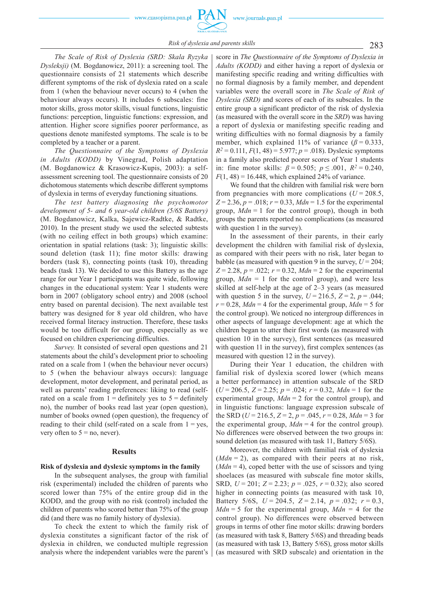283 *Risk of dyslexia and parents skills*

*The Scale of Risk of Dyslexia (SRD: Skala Ryzyka Dysleksji)* (M. Bogdanowicz, 2011): a screening tool. The questionnaire consists of 21 statements which describe different symptoms of the risk of dyslexia rated on a scale from 1 (when the behaviour never occurs) to 4 (when the behaviour always occurs). It includes 6 subscales: fine motor skills, gross motor skills, visual functions, linguistic functions: perception, linguistic functions: expression, and attention. Higher score signifies poorer performance, as questions denote manifested symptoms. The scale is to be completed by a teacher or a parent.

*The Questionnaire of the Symptoms of Dyslexia in Adults (KODD)* by Vinegrad, Polish adaptation (M. Bogdanowicz & Krasowicz-Kupis, 2003): a selfassessment screening tool. The questionnaire consists of 20 dichotomous statements which describe different symptoms of dyslexia in terms of everyday functioning situations.

*The test battery diagnosing the psychomotor development of 5- and 6 year-old children (5/6S Battery)* (M. Bogdanowicz, Kalka, Sajewicz-Radtke, & Radtke, 2010). In the present study we used the selected subtests (with no ceiling effect in both groups) which examine: orientation in spatial relations (task: 3); linguistic skills: sound deletion (task 11); fine motor skills: drawing borders (task 8), connecting points (task 10), threading beads (task 13). We decided to use this Battery as the age range for our Year 1 participants was quite wide, following changes in the educational system: Year 1 students were born in 2007 (obligatory school entry) and 2008 (school entry based on parental decision). The next available test battery was designed for 8 year old children, who have received formal literacy instruction. Therefore, these tasks would be too difficult for our group, especially as we focused on children experiencing difficulties.

*Survey.* It consisted of several open questions and 21 statements about the child's development prior to schooling rated on a scale from 1 (when the behaviour never occurs) to 5 (when the behaviour always occurs): language development, motor development, and perinatal period, as well as parents' reading preferences: liking to read (selfrated on a scale from  $1 =$  definitely yes to  $5 =$  definitely no), the number of books read last year (open question), number of books owned (open question), the frequency of reading to their child (self-rated on a scale from  $1 = yes$ , very often to  $5 = no$ , never).

## **Results**

## **Risk of dyslexia and dyslexic symptoms in the family**

In the subsequent analyses, the group with familial risk (experimental) included the children of parents who scored lower than 75% of the entire group did in the KODD, and the group with no risk (control) included the children of parents who scored better than 75% of the group did (and there was no family history of dyslexia).

To check the extent to which the family risk of dyslexia constitutes a significant factor of the risk of dyslexia in children, we conducted multiple regression analysis where the independent variables were the parent's

score in *The Questionnaire of the Symptoms of Dyslexia in Adults (KODD)* and either having a report of dyslexia or manifesting specific reading and writing difficulties with no formal diagnosis by a family member, and dependent variables were the overall score in *The Scale of Risk of Dyslexia (SRD)* and scores of each of its subscales. In the entire group a significant predictor of the risk of dyslexia (as measured with the overall score in the *SRD*) was having a report of dyslexia or manifesting specific reading and writing difficulties with no formal diagnosis by a family member, which explained 11% of variance  $(\beta = 0.333)$ ,  $R^2 = 0.111$ ,  $F(1, 48) = 5.977$ ;  $p = .018$ ). Dyslexic symptoms in a family also predicted poorer scores of Year 1 students in: fine motor skills:  $\beta = 0.505$ ;  $p < .001$ ,  $R^2 = 0.240$ .  $F(1, 48) = 16.448$ , which explained 24% of variance.

We found that the children with familial risk were born from pregnancies with more complications  $(U = 208.5$ ,  $Z = 2.36$ ,  $p = .018$ ;  $r = 0.33$ ,  $Mdn = 1.5$  for the experimental group,  $Mdn = 1$  for the control group), though in both groups the parents reported no complications (as measured with question 1 in the survey).

In the assessment of their parents, in their early development the children with familial risk of dyslexia, as compared with their peers with no risk, later began to babble (as measured with question 9 in the survey,  $U = 204$ ;  $Z = 2.28$ ,  $p = .022$ ;  $r = 0.32$ ,  $Mdn = 2$  for the experimental group,  $Mdn = 1$  for the control group), and were less skilled at self-help at the age of 2–3 years (as measured with question 5 in the survey,  $U = 216.5$ ,  $Z = 2$ ,  $p = .044$ ;  $r = 0.28$ , *Mdn* = 4 for the experimental group, *Mdn* = 5 for the control group). We noticed no intergroup differences in other aspects of language development: age at which the children began to utter their first words (as measured with question 10 in the survey), first sentences (as measured with question 11 in the survey), first complex sentences (as measured with question 12 in the survey).

During their Year 1 education, the children with familial risk of dyslexia scored lower (which means a better performance) in attention subscale of the SRD (*U* = 206.5, *Z* = 2.25; *p* = .024; *r* = 0.32, *Mdn* = 1 for the experimental group, *Mdn* = 2 for the control group), and in linguistic functions: language expression subscale of the SRD ( $U = 216.5$ ,  $Z = 2$ ,  $p = .045$ ,  $r = 0.28$ ,  $Mdn = 3$  for the experimental group,  $Mdn = 4$  for the control group). No differences were observed between the two groups in: sound deletion (as measured with task 11, Battery 5/6S).

Moreover, the children with familial risk of dyslexia  $(Mdn = 2)$ , as compared with their peers at no risk, (*Mdn* = 4), coped better with the use of scissors and tying shoelaces (as measured with subscale fine motor skills, SRD, *U* = 201; *Z* = 2.23; *p* = .025, *r* = 0.32); also scored higher in connecting points (as measured with task 10, Battery 5/6S,  $U = 204.5$ ,  $Z = 2.14$ ,  $p = .032$ ;  $r = 0.3$ ,  $Mdn = 5$  for the experimental group,  $Mdn = 4$  for the control group). No differences were observed between groups in terms of other fine motor skills: drawing borders (as measured with task 8, Battery 5/6S) and threading beads (as measured with task 13, Battery 5/6S), gross motor skills (as measured with SRD subscale) and orientation in the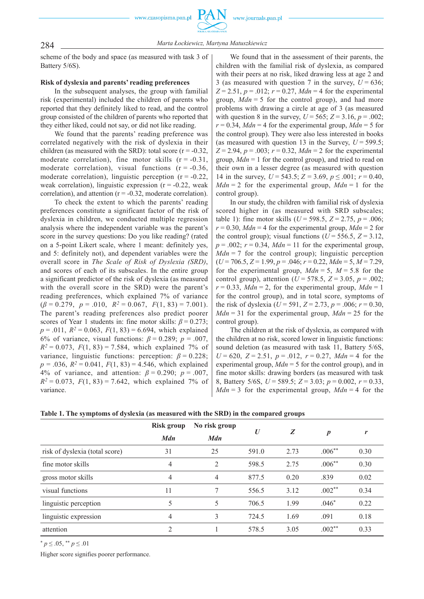

284 *Marta Łockiewicz, Martyna Matuszkiewicz*

scheme of the body and space (as measured with task 3 of Battery 5/6S).

## **Risk of dyslexia and parents' reading preferences**

In the subsequent analyses, the group with familial risk (experimental) included the children of parents who reported that they definitely liked to read, and the control group consisted of the children of parents who reported that they either liked, could not say, or did not like reading.

We found that the parents' reading preference was correlated negatively with the risk of dyslexia in their children (as measured with the SRD): total score ( $r = -0.32$ , moderate correlation), fine motor skills  $(r = -0.31)$ , moderate correlation), visual functions  $(r = -0.36)$ , moderate correlation), linguistic perception  $(r = -0.22)$ , weak correlation), linguistic expression  $(r = -0.22$ , weak correlation), and attention  $(r = -0.32)$ , moderate correlation).

To check the extent to which the parents' reading preferences constitute a significant factor of the risk of dyslexia in children, we conducted multiple regression analysis where the independent variable was the parent's score in the survey questions: Do you like reading? (rated on a 5-point Likert scale, where 1 meant: definitely yes, and 5: definitely not), and dependent variables were the overall score in *The Scale of Risk of Dyslexia (SRD)*, and scores of each of its subscales. In the entire group a significant predictor of the risk of dyslexia (as measured with the overall score in the SRD) were the parent's reading preferences, which explained 7% of variance  $(\beta = 0.279, p = .010, R^2 = 0.067, F(1, 83) = 7.001)$ . The parent's reading preferences also predict poorer scores of Year 1 students in: fine motor skills:  $\beta = 0.273$ ;  $p = .011$ ,  $R^2 = 0.063$ ,  $F(1, 83) = 6.694$ , which explained 6% of variance, visual functions:  $\beta = 0.289$ ;  $p = .007$ ,  $R^2 = 0.073$ ,  $F(1, 83) = 7.584$ , which explained 7% of variance, linguistic functions: perception:  $\beta = 0.228$ ;  $p = .036$ ,  $R^2 = 0.041$ ,  $F(1, 83) = 4.546$ , which explained 4% of variance, and attention: *β* = 0.290; *p* = .007,  $R^2 = 0.073$ ,  $F(1, 83) = 7.642$ , which explained 7% of variance.

We found that in the assessment of their parents, the children with the familial risk of dyslexia, as compared with their peers at no risk, liked drawing less at age 2 and 3 (as measured with question 7 in the survey,  $U = 636$ ;  $Z = 2.51$ ,  $p = .012$ ;  $r = 0.27$ ,  $Mdn = 4$  for the experimental group, *Mdn* = 5 for the control group), and had more problems with drawing a circle at age of 3 (as measured with question 8 in the survey,  $U = 565$ ;  $Z = 3.16$ ,  $p = .002$ ;  $r = 0.34$ , *Mdn* = 4 for the experimental group, *Mdn* = 5 for the control group). They were also less interested in books (as measured with question 13 in the Survey,  $U = 599.5$ ;  $Z = 2.94$ ,  $p = .003$ ;  $r = 0.32$ ,  $Mdn = 2$  for the experimental group, *Mdn* = 1 for the control group), and tried to read on their own in a lesser degree (as measured with question 14 in the survey,  $U = 543.5$ ;  $Z = 3.69$ ,  $p \le 0.001$ ;  $r = 0.40$ ,  $Mdn = 2$  for the experimental group,  $Mdn = 1$  for the control group).

In our study, the children with familial risk of dyslexia scored higher in (as measured with SRD subscales; table 1): fine motor skills ( $U = 598.5$ ,  $Z = 2.75$ ,  $p = .006$ ;  $r = 0.30$ , *Mdn* = 4 for the experimental group, *Mdn* = 2 for the control group); visual functions ( $U = 556.5$ ,  $Z = 3.12$ ,  $p = .002$ ;  $r = 0.34$ ,  $Mdn = 11$  for the experimental group,  $Mdn = 7$  for the control group); linguistic perception (*U* = 706.5, *Z* = 1.99, *p* = .046; *r* = 0.22, *Mdn* = 5, *M* = 7.29, for the experimental group,  $Mdn = 5$ ,  $M = 5.8$  for the control group), attention ( $U = 578.5$ ,  $Z = 3.05$ ,  $p = .002$ ;  $r = 0.33$ , *Mdn* = 2, for the experimental group, *Mdn* = 1 for the control group), and in total score, symptoms of the risk of dyslexia ( $U = 591$ ,  $Z = 2.73$ ,  $p = .006$ ;  $r = 0.30$ ,  $Mdn = 31$  for the experimental group,  $Mdn = 25$  for the control group).

The children at the risk of dyslexia, as compared with the children at no risk, scored lower in linguistic functions: sound deletion (as measured with task 11, Battery 5/6S,  $U = 620$ ,  $Z = 2.51$ ,  $p = .012$ ,  $r = 0.27$ ,  $Mdn = 4$  for the experimental group, *Mdn* = 5 for the control group), and in fine motor skills: drawing borders (as measured with task 8, Battery 5/6S, *U* = 589.5; *Z* = 3.03; *p* = 0.002, *r* = 0.33,  $Mdn = 3$  for the experimental group,  $Mdn = 4$  for the

**Table 1. The symptoms of dyslexia (as measured with the SRD) in the compared groups** 

|                                | Risk group<br><b>Mdn</b> | No risk group<br><b>Mdn</b> | $\boldsymbol{U}$ | Z    | $\boldsymbol{p}$ | r    |
|--------------------------------|--------------------------|-----------------------------|------------------|------|------------------|------|
| risk of dyslexia (total score) | 31                       | 25                          | 591.0            | 2.73 | $.006***$        | 0.30 |
| fine motor skills              | 4                        | $\overline{2}$              | 598.5            | 2.75 | $.006***$        | 0.30 |
| gross motor skills             | 4                        | 4                           | 877.5            | 0.20 | .839             | 0.02 |
| visual functions               | 11                       | 7                           | 556.5            | 3.12 | $.002**$         | 0.34 |
| linguistic perception          | 5                        | 5                           | 706.5            | 1.99 | $.046*$          | 0.22 |
| linguistic expression          | 4                        | 3                           | 724.5            | 1.69 | .091             | 0.18 |
| attention                      | 2                        |                             | 578.5            | 3.05 | $.002**$         | 0.33 |

 $p \leq 0.05$ ,  $p \leq 0.01$ 

Higher score signifies poorer performance.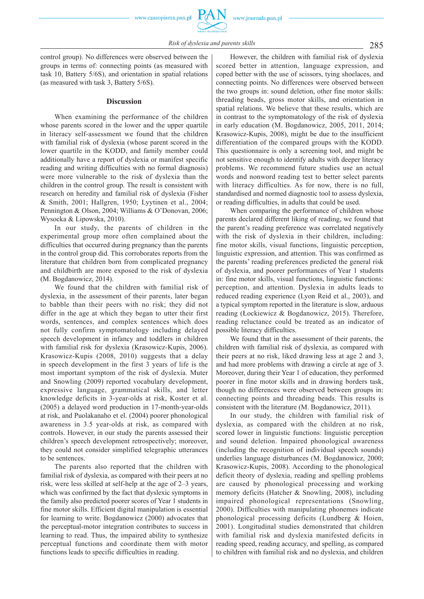control group). No differences were observed between the groups in terms of: connecting points (as measured with task 10, Battery 5/6S), and orientation in spatial relations (as measured with task 3, Battery 5/6S).

## **Discussion**

When examining the performance of the children whose parents scored in the lower and the upper quartile in literacy self-assessment we found that the children with familial risk of dyslexia (whose parent scored in the lower quartile in the KODD, and family member could additionally have a report of dyslexia or manifest specific reading and writing difficulties with no formal diagnosis) were more vulnerable to the risk of dyslexia than the children in the control group. The result is consistent with research on heredity and familial risk of dyslexia (Fisher & Smith, 2001; Hallgren, 1950; Lyytinen et al., 2004; Pennington & Olson, 2004; Williams & O'Donovan, 2006; Wysocka & Lipowska, 2010).

In our study, the parents of children in the experimental group more often complained about the difficulties that occurred during pregnancy than the parents in the control group did. This corroborates reports from the literature that children born from complicated pregnancy and childbirth are more exposed to the risk of dyslexia (M. Bogdanowicz, 2014).

We found that the children with familial risk of dyslexia, in the assessment of their parents, later began to babble than their peers with no risk; they did not differ in the age at which they began to utter their first words, sentences, and complex sentences which does not fully confirm symptomatology including delayed speech development in infancy and toddlers in children with familial risk for dyslexia (Krasowicz-Kupis, 2006). Krasowicz-Kupis (2008, 2010) suggests that a delay in speech development in the first 3 years of life is the most important symptom of the risk of dyslexia. Muter and Snowling (2009) reported vocabulary development, expressive language, grammatical skills, and letter knowledge deficits in 3-year-olds at risk, Koster et al. (2005) a delayed word production in 17-month-year-olds at risk, and Puolakanaho et el. (2004) poorer phonological awareness in 3.5 year-olds at risk, as compared with controls. However, in our study the parents assessed their children's speech development retrospectively; moreover, they could not consider simplified telegraphic utterances to be sentences.

The parents also reported that the children with familial risk of dyslexia, as compared with their peers at no risk, were less skilled at self-help at the age of 2–3 years, which was confirmed by the fact that dyslexic symptoms in the family also predicted poorer scores of Year 1 students in fine motor skills. Efficient digital manipulation is essential for learning to write. Bogdanowicz (2000) advocates that the perceptual-motor integration contributes to success in learning to read. Thus, the impaired ability to synthesize perceptual functions and coordinate them with motor functions leads to specific difficulties in reading.

However, the children with familial risk of dyslexia scored better in attention, language expression, and coped better with the use of scissors, tying shoelaces, and connecting points. No differences were observed between the two groups in: sound deletion, other fine motor skills: threading beads, gross motor skills, and orientation in spatial relations. We believe that these results, which are in contrast to the symptomatology of the risk of dyslexia in early education (M. Bogdanowicz, 2005, 2011, 2014; Krasowicz-Kupis, 2008), might be due to the insufficient differentiation of the compared groups with the KODD. This questionnaire is only a screening tool, and might be not sensitive enough to identify adults with deeper literacy problems. We recommend future studies use an actual words and nonword reading test to better select parents with literacy difficulties. As for now, there is no full, standardised and normed diagnostic tool to assess dyslexia, or reading difficulties, in adults that could be used.

When comparing the performance of children whose parents declared different liking of reading, we found that the parent's reading preference was correlated negatively with the risk of dyslexia in their children, including: fine motor skills, visual functions, linguistic perception, linguistic expression, and attention. This was confirmed as the parents' reading preferences predicted the general risk of dyslexia, and poorer performances of Year 1 students in: fine motor skills, visual functions, linguistic functions: perception, and attention. Dyslexia in adults leads to reduced reading experience (Lyon Reid et al., 2003), and a typical symptom reported in the literature is slow, arduous reading (Łockiewicz & Bogdanowicz, 2015). Therefore, reading reluctance could be treated as an indicator of possible literacy difficulties.

We found that in the assessment of their parents, the children with familial risk of dyslexia, as compared with their peers at no risk, liked drawing less at age 2 and 3, and had more problems with drawing a circle at age of 3. Moreover, during their Year 1 of education, they performed poorer in fine motor skills and in drawing borders task, though no differences were observed between groups in: connecting points and threading beads. This results is consistent with the literature (M. Bogdanowicz, 2011).

In our study, the children with familial risk of dyslexia, as compared with the children at no risk, scored lower in linguistic functions: linguistic perception and sound deletion. Impaired phonological awareness (including the recognition of individual speech sounds) underlies language disturbances (M. Bogdanowicz, 2000; Krasowicz-Kupis, 2008). According to the phonological deficit theory of dyslexia, reading and spelling problems are caused by phonological processing and working memory deficits (Hatcher & Snowling, 2008), including impaired phonological representations (Snowling, 2000). Difficulties with manipulating phonemes indicate phonological processing deficits (Lundberg & Hoien, 2001). Longitudinal studies demonstrated that children with familial risk and dyslexia manifested deficits in reading speed, reading accuracy, and spelling, as compared to children with familial risk and no dyslexia, and children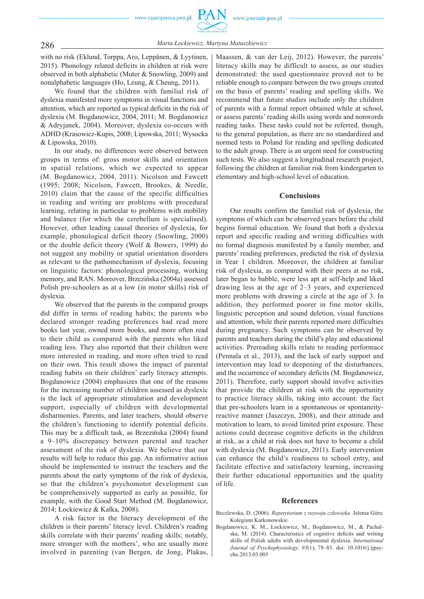

286 *Marta Łockiewicz, Martyna Matuszkiewicz*

with no risk (Eklund, Torppa, Aro, Leppänen, & Lyytinen, 2015). Phonology related deficits in children at risk were observed in both alphabetic (Muter & Snowling, 2009) and nonalphabetic languages (Ho, Leung, & Cheung, 2011).

We found that the children with familial risk of dyslexia manifested more symptoms in visual functions and attention, which are reported as typical deficits in the risk of dyslexia (M. Bogdanowicz, 2004, 2011; M. Bogdanowicz & Adryjanek, 2004). Moreover, dyslexia co-occurs with ADHD (Krasowicz-Kupis, 2008; Lipowska, 2011; Wysocka & Lipowska, 2010).

In our study, no differences were observed between groups in terms of: gross motor skills and orientation in spatial relations, which we expected to appear (M. Bogdanowicz, 2004, 2011). Nicolson and Fawcett (1995; 2008; Nicolson, Fawcett, Brookes, & Needle, 2010) claim that the cause of the specific difficulties in reading and writing are problems with procedural learning, relating in particular to problems with mobility and balance (for which the cerebellum is specialised). However, other leading causal theories of dyslexia, for example, phonological deficit theory (Snowling, 2000) or the double deficit theory (Wolf & Bowers, 1999) do not suggest any mobility or spatial orientation disorders as relevant to the pathomechanism of dyslexia, focusing on linguistic factors: phonological processing, working memory, and RAN. Moreover, Brzezińska (2004a) assessed Polish pre-schoolers as at a low (in motor skills) risk of dyslexia.

We observed that the parents in the compared groups did differ in terms of reading habits; the parents who declared stronger reading preferences had read more books last year, owned more books, and more often read to their child as compared with the parents who liked reading less. They also reported that their children were more interested in reading, and more often tried to read on their own. This result shows the impact of parental reading habits on their children' early literacy attempts. Bogdanowicz (2004) emphasizes that one of the reasons for the increasing number of children assessed as dyslexic is the lack of appropriate stimulation and development support, especially of children with developmental disharmonies. Parents, and later teachers, should observe the children's functioning to identify potential deficits. This may be a difficult task, as Brzezińska (2004) found a 9–10% discrepancy between parental and teacher assessment of the risk of dyslexia. We believe that our results will help to reduce this gap. An informative action should be implemented to instruct the teachers and the parents about the early symptoms of the risk of dyslexia, so that the children's psychomotor development can be comprehensively supported as early as possible, for example, with the Good Start Method (M. Bogdanowicz, 2014; Łockiewicz & Kalka, 2008).

A risk factor in the literacy development of the children is their parents' literacy level. Children's reading skills correlate with their parents' reading skills; notably, more stronger with the mothers', who are usually more involved in parenting (van Bergen, de Jong, Plakas,

Maassen, & van der Leij, 2012). However, the parents' literacy skills may be difficult to assess, as our studies demonstrated: the used questionnaire proved not to be reliable enough to compare between the two groups created on the basis of parents' reading and spelling skills. We recommend that future studies include only the children of parents with a formal report obtained while at school, or assess parents' reading skills using words and nonwords reading tasks. These tasks could not be referred, though, to the general population, as there are no standardized and normed tests in Poland for reading and spelling dedicated to the adult group. There is an urgent need for constructing such tests. We also suggest a longitudinal research project, following the children at familiar risk from kindergarten to elementary and high-school level of education.

## **Conclusions**

Our results confirm the familial risk of dyslexia, the symptoms of which can be observed years before the child begins formal education. We found that both a dyslexia report and specific reading and writing difficulties with no formal diagnosis manifested by a family member, and parents' reading preferences, predicted the risk of dyslexia in Year 1 children. Moreover, the children at familiar risk of dyslexia, as compared with their peers at no risk, later began to babble, were less apt at self-help and liked drawing less at the age of 2–3 years, and experienced more problems with drawing a circle at the age of 3. In addition, they performed poorer in fine motor skills, linguistic perception and sound deletion, visual functions and attention, while their parents reported more difficulties during pregnancy. Such symptoms can be observed by parents and teachers during the child's play and educational activities. Prereading skills relate to reading performace (Pennala et al., 2013), and the lack of early support and intervention may lead to deepening of the disturbances, and the occurrence of secondary deficits (M. Bogdanowicz, 2011). Therefore, early support should involve activities that provide the children at risk with the opportunity to practice literacy skills, taking into account: the fact that pre-schoolers learn in a spontaneous or spontaneityreactive manner (Jaszczyn, 2008), and their attitude and motivation to learn, to avoid limited print exposure. These actions could decrease cognitive deficits in the children at risk, as a child at risk does not have to become a child with dyslexia (M. Bogdanowicz, 2011). Early intervention can enhance the child's readiness to school entry, and facilitate effective and satisfactory learning, increasing their further educational opportunities and the quality of life.

## **References**

- Becelewska, D. (2006). *Repetytorium z rozwoju człowieka*. Jelenia Góra: Kolegium Karkonowskie.
- Bogdanowicz, K. M., Łockiewicz, M., Bogdanowicz, M., & Pachalska, M. (2014). Characteristics of cognitive deficits and writing skills of Polish adults with developmental dyslexia. *International Journal of Psychophysiology, 93*(1), 78–83. doi: 10.1016/j.ijpsycho.2013.03.005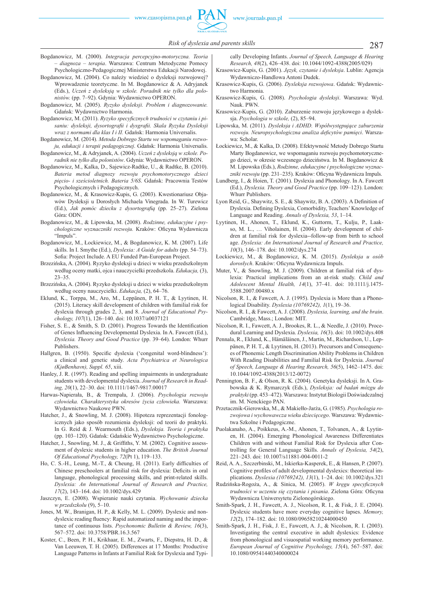- Bogdanowicz, M. (2000). *Integracja percepcyjno-motoryczna. Teoria – diagnoza – terapia*. Warszawa: Centrum Metodyczne Pomocy Psychologiczno-Pedagogicznej Ministerstwa Edukacji Narodowej.
- Bogdanowicz, M. (2004). Co należy wiedzieć o dysleksji rozwojowej? Wprowadzenie teoretyczne. In M. Bogdanowicz & A. Adryjanek (Eds.), *Uczeń z dysleksją w szkole. Poradnik nie tylko dla polonistów.* (pp. 7–92). Gdynia: Wydawnictwo OPERON.
- Bogdanowicz, M. (2005). *Ryzyko dysleksji. Problem i diagnozowanie.* Gdańsk: Wydawnictwo Harmonia.
- Bogdanowicz, M. (2011). Ryzyko specyficznych trudności w czytaniu i pi*saniu: dysleksji, dysortografi i i dysgrafi i. Skala Ryzyka Dysleksji wraz z normami dla klas I i II.* Gdańsk: Harmonia Universalis.
- Bogdanowicz, M. (2014). *Metoda Dobrego Startu we wspomaganiu rozwoju, edukacji i terapii pedagogicznej*. Gdańsk: Harmonia Universalis.
- Bogdanowicz, M., & Adryjanek, A. (2004). *Uczeń z dysleksją w szkole. Poradnik nie tylko dla polonistów*. Gdynia: Wydawnictwo OPERON.
- Bogdanowicz, M., Kalka, D., Sajewicz-Radtke, U., & Radtke, B. (2010). *Bateria metod diagnozy rozwoju psychomotorycznego dzieci pięcio- i sześcioletnich. Bateria 5/6S*. Gdańsk: Pracownia Testów Psychologicznych i Pedagogicznych.
- Bogdanowicz, M., & Krasowicz-Kupis, G. (2003). Kwestionariusz Objawów Dysleksji u Dorosłych Michaela Vinegrada. In W. Turewicz (Ed.), *Jak pomóc dziecku z dysortografią* (pp. 25–27). Zielona Góra: ODN.
- Bogdanowicz, M., & Lipowska, M. (2008). *Rodzinne, edukacyjne i psy*chologiczne wyznaczniki rozwoju. Kraków: Oficyna Wydawnicza "Impuls".
- Bogdanowicz, M., Łockiewicz, M., & Bogdanowicz, K. M. (2007). Life skills. In I. Smythe (Ed.), *Dyslexia: A Guide for adults* (pp. 54–73). Sofia: Project Include. A EU Funded Pan-European Project.
- Brzezińska, A. (2004). Ryzyko dysleksji u dzieci w wieku przedszkolnym według oceny matki, ojca i nauczycielki przedszkola. *Edukacja,* (3), 23–35.
- Brzezińska, A. (2004). Ryzyko dysleksji u dzieci w wieku przedszkolnym według oceny nauczycielki. *Edukacja,* (2), 64–76.
- Eklund, K., Torppa, M., Aro, M., Leppänen, P. H. T., & Lyytinen, H. (2015). Literacy skill development of children with familial risk for dyslexia through grades 2, 3, and 8. *Journal of Educational Psychology, 107*(1), 126–140. doi: 10.1037/a0037121
- Fisher, S. E.,  $\&$  Smith, S. D. (2001). Progress Towards the Identification of Genes Influencing Developmental Dyslexia. In A. Fawcett (Ed.), *Dyslexia. Theory and Good Practice* (pp. 39–64). London: Whurr Publishers.
- Hallgren, B. (1950). Specific dyslexia ('congenital word-blindness'): a clinical and genetic study. *Acta Psychiatrica et Neurologica (KjøBenhavn), Suppl. 65*, xiii.
- Hanley, J. R. (1997). Reading and spelling impairments in undergraduate students with developmental dyslexia. *Journal of Research in Reading, 20*(1), 22–30. doi: 10.1111/1467-9817.00017
- Harwas-Napierała, B., & Trempała, J. (2006). *Psychologia rozwoju człowieka. Charakterystyka okresów życia człowieka.* Warszawa: Wydawnictwo Naukowe PWN.
- Hatcher, J., & Snowling, M. J. (2008). Hipoteza reprezentacji fonologicznych jako sposób rozumienia dysleksji: od teorii do praktyki. In G. Reid & J. Wearmouth (Eds.), *Dysleksja. Teoria i praktyka* (pp. 103–120). Gdańsk: Gdańskie Wydawnictwo Psychologiczne.
- Hatcher, J., Snowling, M. J., & Griffiths, Y. M. (2002). Cognitive assessment of dyslexic students in higher education. *The British Journal Of Educational Psychology, 72*(Pt 1), 119–133.
- Ho, C. S.-H., Leung, M.-T., & Cheung, H. (2011). Early difficulties of Chinese preschoolers at familial risk for dyslexia: Deficits in oral language, phonological processing skills, and print-related skills. *Dyslexia: An International Journal of Research and Practice, 17*(2), 143–164. doi: 10.1002/dys.429
- Jaszczyn, E. (2008). Wspieranie nauki czytania. *Wychowanie dziecka w przedszkolu* (9), 5–10.
- Jones, M. W., Branigan, H. P., & Kelly, M. L. (2009). Dyslexic and nondyslexic reading fluency: Rapid automatized naming and the importance of continuous lists. *Psychonomic Bulletin & Review, 16*(3), 567–572. doi: 10.3758/PBR.16.3.567
- Koster, C., Been, P. H., Krikhaar, E. M., Zwarts, F., Diepstra, H. D., & Van Leeuwen, T. H. (2005). Differences at 17 Months: Productive Language Patterns in Infants at Familial Risk for Dyslexia and Typi-

cally Developing Infants. *Journal of Speech, Language & Hearing Research, 48*(2), 426–438. doi: 10.1044/1092-4388(2005/029)

- Krasowicz-Kupis, G. (2001). *Język, czytanie i dysleksja*. Lublin: Agencja Wydawniczo-Handlowa Antoni Dudek.
- Krasowicz-Kupis, G. (2006). *Dysleksja rozwojowa*. Gdańsk: Wydawnictwo Harmonia.
- Krasowicz-Kupis, G. (2008). *Psychologia dysleksji*. Warszawa: Wyd. Nauk. PWN.
- Krasowicz-Kupis, G. (2010). Zaburzenie rozwoju językowego a dysleksja. *Psychologia w szkole,* (2), 85–94.
- Lipowska, M. (2011). *Dysleksja i ADHD. Współwystępujące zaburzenia rozwoju. Neuropsychologiczna analiza deficytów pamięci.* Warszawa: Scholar.
- Łockiewicz, M., & Kalka, D. (2008). Efektywność Metody Dobrego Startu Marty Bogdanowicz, we wspomaganiu rozwoju psychomotorycznego dzieci, w okresie wczesnego dzieciństwa. In M. Bogdanowicz & M. Lipowska (Eds.), *Rodzinne, edukacyjne i psychologiczne wyznac*zniki rozwoju (pp. 231–235). Kraków: Oficyna Wydawnicza Impuls.
- Lundberg, I., & Hoien, T. (2001). Dyslexia and Phonology. In A. Fawcett (Ed.), *Dyslexia. Theory and Good Practice* (pp. 109–123). London: Whurr Publishers.
- Lyon Reid, G., Shaywitz, S. E., & Shaywitz, B. A. (2003). A Definition of Dyslexia. Defining Dyslexia, Comorbidity, Teachers' Knowledge of Language and Reading. *Annals of Dyslexia, 53*, 1–14.
- Lyytinen, H., Ahonen, T., Eklund, K., Guttorm, T., Kulju, P., Laakso, M. L., … Viholainen, H. (2004). Early development of children at familial risk for dyslexia--follow-up from birth to school age. *Dyslexia: An International Journal of Research and Practice, 10*(3), 146–178. doi: 10.1002/dys.274
- Łockiewicz, M., & Bogdanowicz, K. M. (2015). *Dysleksja u osób*   $d$ orosłych. Kraków: Oficyna Wydawnicza Impuls.
- Muter, V., & Snowling, M. J. (2009). Children at familial risk of dyslexia: Practical implications from an at-risk study. *Child and Adolescent Mental Health, 14*(1), 37–41. doi: 10.1111/j.1475- 3588.2007.00480.x
- Nicolson, R. I., & Fawcett, A. J. (1995). Dyslexia is More than a Phonological Disability. *Dyslexia (10769242), 1*(1), 19–36.
- Nicolson, R. I., & Fawcett, A. J. (2008). *Dyslexia, learning, and the brain*. Cambridge, Mass.; London: MIT.
- Nicolson, R. I., Fawcett, A. J., Brookes, R. L., & Needle, J. (2010). Procedural Learning and Dyslexia. *Dyslexia, 16*(3). doi: 10.1002/dys.408
- Pennala, R., Eklund, K., Hämäläinen, J., Martin, M., Richardson, U., Leppänen, P. H. T., & Lyytinen, H. (2013). Precursors and Consequences of Phonemic Length Discrimination Ability Problems in Children With Reading Disabilities and Familial Risk for Dyslexia. *Journal of Speech, Language & Hearing Research, 56*(5), 1462–1475. doi: 10.1044/1092-4388(2013/12-0072)
- Pennington, B. F., & Olson, R. K. (2004). Genetyka dysleksji. In A. Grabowska & K. Rymarczyk (Eds.), *Dysleksja: od badań mózgu do praktyki* (pp. 453–472). Warszawa: Instytut Biologii Doświadczalnej im. M. Nenckiego PAN.
- Przetacznik-Gierowska, M., & Makiełło-Jarża, G. (1985). *Psychologia rozwojowa i wychowawcza wieku dziecięcego*. Warszawa: Wydawnictwa Szkolne i Pedagogiczne.
- Puolakanaho, A., Poikkeus, A.-M., Ahonen, T., Tolvanen, A., & Lyytinen, H. (2004). Emerging Phonological Awareness Differentiates Children with and without Familial Risk for Dyslexia after Controlling for General Language Skills. *Annals of Dyslexia, 54*(2), 221–243. doi: 10.1007/s11881-004-0011-2
- Reid, A. A., Szczerbinski, M., Iskierka-Kasperek, E., & Hansen, P. (2007). Cognitive profiles of adult developmental dyslexics: theoretical implications. *Dyslexia (10769242), 13*(1), 1–24. doi: 10.1002/dys.321
- Rudzińska-Rogoża, A., & Sinica, M. (2005). W kręgu specyficznych *trudności w uczeniu się czytania i pisania*. Zielona Góra: Oficyna Wydawnicza Uniwersytetu Zielonogórskiego.
- Smith-Spark, J. H., Fawcett, A. J., Nicolson, R. I., & Fisk, J. E. (2004). Dyslexic students have more everyday cognitive lapses. *Memory, 12*(2), 174–182. doi: 10.1080/09658210244000450
- Smith-Spark, J. H., Fisk, J. E., Fawcett, A. J., & Nicolson, R. I. (2003). Investigating the central executive in adult dyslexics: Evidence from phonological and visuospatial working memory performance. *European Journal of Cognitive Psychology, 15*(4), 567–587. doi: 10.1080/09541440340000024